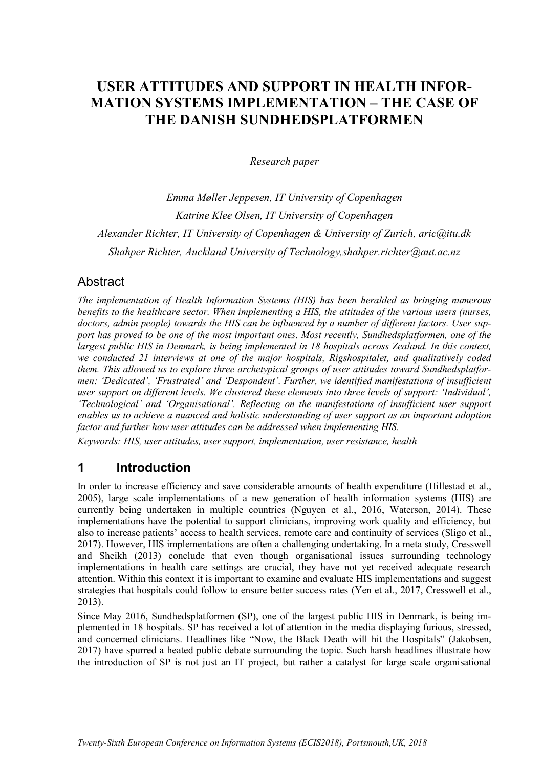# **USER ATTITUDES AND SUPPORT IN HEALTH INFOR-MATION SYSTEMS IMPLEMENTATION – THE CASE OF THE DANISH SUNDHEDSPLATFORMEN**

*Research paper*

*Emma Møller Jeppesen, IT University of Copenhagen Katrine Klee Olsen, IT University of Copenhagen Alexander Richter, IT University of Copenhagen & University of Zurich, aric@itu.dk Shahper Richter, Auckland University of Technology,shahper.richter@aut.ac.nz*

### **Abstract**

*The implementation of Health Information Systems (HIS) has been heralded as bringing numerous benefits to the healthcare sector. When implementing a HIS, the attitudes of the various users (nurses, doctors, admin people) towards the HIS can be influenced by a number of different factors. User support has proved to be one of the most important ones. Most recently, Sundhedsplatformen, one of the largest public HIS in Denmark, is being implemented in 18 hospitals across Zealand. In this context, we conducted 21 interviews at one of the major hospitals, Rigshospitalet, and qualitatively coded them. This allowed us to explore three archetypical groups of user attitudes toward Sundhedsplatformen: 'Dedicated', 'Frustrated' and 'Despondent'. Further, we identified manifestations of insufficient user support on different levels. We clustered these elements into three levels of support: 'Individual', 'Technological' and 'Organisational'. Reflecting on the manifestations of insufficient user support enables us to achieve a nuanced and holistic understanding of user support as an important adoption factor and further how user attitudes can be addressed when implementing HIS.* 

*Keywords: HIS, user attitudes, user support, implementation, user resistance, health*

### **1 Introduction**

In order to increase efficiency and save considerable amounts of health expenditure [\(Hillestad et al.,](#page-14-0)  [2005\)](#page-14-0), large scale implementations of a new generation of health information systems (HIS) are currently being undertaken in multiple countries [\(Nguyen et al., 2016,](#page-14-1) [Waterson, 2014\)](#page-15-0). These implementations have the potential to support clinicians, improving work quality and efficiency, but also to increase patients' access to health services, remote care and continuity of services [\(Sligo et al.,](#page-15-1)  [2017\)](#page-15-1). However, HIS implementations are often a challenging undertaking. In a meta study, Cresswell and Sheikh (2013) conclude that even though organisational issues surrounding technology implementations in health care settings are crucial, they have not yet received adequate research attention. Within this context it is important to examine and evaluate HIS implementations and suggest strategies that hospitals could follow to ensure better success rates [\(Yen et al., 2017,](#page-15-2) [Cresswell et al.,](#page-13-0)  [2013\)](#page-13-0).

Since May 2016, Sundhedsplatformen (SP), one of the largest public HIS in Denmark, is being implemented in 18 hospitals. SP has received a lot of attention in the media displaying furious, stressed, and concerned clinicians. Headlines like "Now, the Black Death will hit the Hospitals" [\(Jakobsen,](#page-14-2)  [2017\)](#page-14-2) have spurred a heated public debate surrounding the topic. Such harsh headlines illustrate how the introduction of SP is not just an IT project, but rather a catalyst for large scale organisational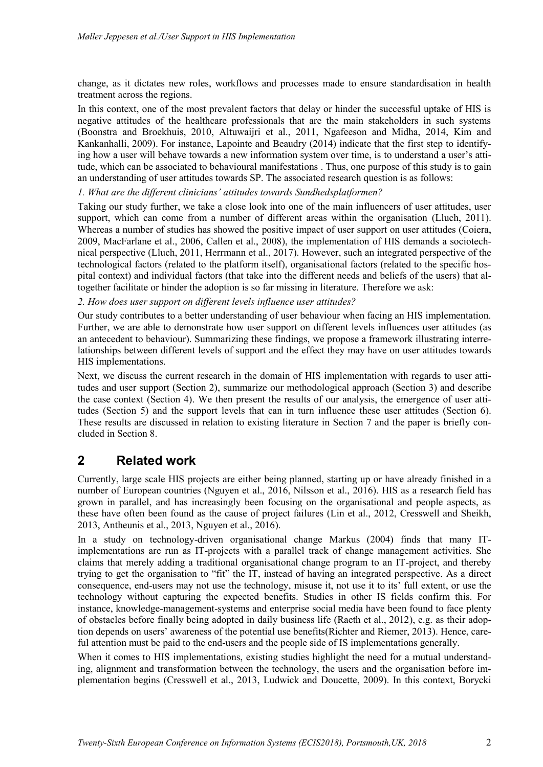change, as it dictates new roles, workflows and processes made to ensure standardisation in health treatment across the regions.

In this context, one of the most prevalent factors that delay or hinder the successful uptake of HIS is negative attitudes of the healthcare professionals that are the main stakeholders in such systems [\(Boonstra and Broekhuis, 2010,](#page-13-1) [Altuwaijri et al., 2011,](#page-13-2) [Ngafeeson and Midha, 2014,](#page-14-3) [Kim and](#page-14-4)  [Kankanhalli, 2009\)](#page-14-4). For instance, Lapointe and Beaudry (2014) indicate that the first step to identifying how a user will behave towards a new information system over time, is to understand a user's attitude, which can be associated to behavioural manifestations . Thus, one purpose of this study is to gain an understanding of user attitudes towards SP. The associated research question is as follows:

*1. What are the different clinicians' attitudes towards Sundhedsplatformen?*

Taking our study further, we take a close look into one of the main influencers of user attitudes, user support, which can come from a number of different areas within the organisation [\(Lluch, 2011\)](#page-14-5). Whereas a number of studies has showed the positive impact of user support on user attitudes [\(Coiera,](#page-13-3)  [2009,](#page-13-3) [MacFarlane et al., 2006,](#page-14-6) [Callen et al., 2008\)](#page-13-4), the implementation of HIS demands a sociotechnical perspective [\(Lluch, 2011,](#page-14-5) [Herrmann et al., 2017\)](#page-13-5). However, such an integrated perspective of the technological factors (related to the platform itself), organisational factors (related to the specific hospital context) and individual factors (that take into the different needs and beliefs of the users) that altogether facilitate or hinder the adoption is so far missing in literature. Therefore we ask:

*2. How does user support on different levels influence user attitudes?*

Our study contributes to a better understanding of user behaviour when facing an HIS implementation. Further, we are able to demonstrate how user support on different levels influences user attitudes (as an antecedent to behaviour). Summarizing these findings, we propose a framework illustrating interrelationships between different levels of support and the effect they may have on user attitudes towards HIS implementations.

Next, we discuss the current research in the domain of HIS implementation with regards to user attitudes and user support (Section 2), summarize our methodological approach (Section 3) and describe the case context (Section 4). We then present the results of our analysis, the emergence of user attitudes (Section 5) and the support levels that can in turn influence these user attitudes (Section 6). These results are discussed in relation to existing literature in Section 7 and the paper is briefly concluded in Section 8.

### **2 Related work**

Currently, large scale HIS projects are either being planned, starting up or have already finished in a number of European countries [\(Nguyen et al., 2016,](#page-14-1) [Nilsson et al., 2016\)](#page-14-7). HIS as a research field has grown in parallel, and has increasingly been focusing on the organisational and people aspects, as these have often been found as the cause of project failures [\(Lin et al., 2012,](#page-14-8) [Cresswell and Sheikh,](#page-13-6)  [2013,](#page-13-6) [Antheunis et al., 2013,](#page-13-7) [Nguyen et al., 2016\)](#page-14-1).

In a study on technology-driven organisational change Markus (2004) finds that many ITimplementations are run as IT-projects with a parallel track of change management activities. She claims that merely adding a traditional organisational change program to an IT-project, and thereby trying to get the organisation to "fit" the IT, instead of having an integrated perspective. As a direct consequence, end-users may not use the technology, misuse it, not use it to its' full extent, or use the technology without capturing the expected benefits. Studies in other IS fields confirm this. For instance, knowledge-management-systems and enterprise social media have been found to face plenty of obstacles before finally being adopted in daily business life [\(Raeth et al., 2012\)](#page-15-3), e.g. as their adoption depends on users' awareness of the potential use benefits[\(Richter and Riemer, 2013\)](#page-15-4). Hence, careful attention must be paid to the end-users and the people side of IS implementations generally.

When it comes to HIS implementations, existing studies highlight the need for a mutual understanding, alignment and transformation between the technology, the users and the organisation before implementation begins [\(Cresswell et al., 2013,](#page-13-0) [Ludwick and Doucette, 2009\)](#page-14-9). In this context, Borycki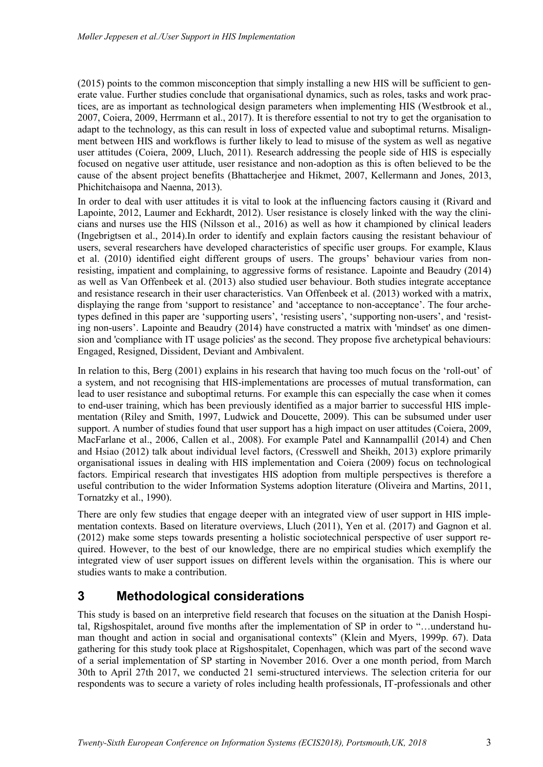(2015) points to the common misconception that simply installing a new HIS will be sufficient to generate value. Further studies conclude that organisational dynamics, such as roles, tasks and work practices, are as important as technological design parameters when implementing HIS [\(Westbrook et al.,](#page-15-5)  [2007,](#page-15-5) [Coiera, 2009,](#page-13-3) [Herrmann et al., 2017\)](#page-13-5). It is therefore essential to not try to get the organisation to adapt to the technology, as this can result in loss of expected value and suboptimal returns. Misalignment between HIS and workflows is further likely to lead to misuse of the system as well as negative user attitudes [\(Coiera, 2009,](#page-13-3) [Lluch, 2011\)](#page-14-5). Research addressing the people side of HIS is especially focused on negative user attitude, user resistance and non-adoption as this is often believed to be the cause of the absent project benefits [\(Bhattacherjee and Hikmet, 2007,](#page-13-8) [Kellermann and Jones, 2013,](#page-14-10) [Phichitchaisopa and Naenna, 2013\)](#page-14-11).

In order to deal with user attitudes it is vital to look at the influencing factors causing it [\(Rivard and](#page-15-6)  [Lapointe, 2012,](#page-15-6) [Laumer and Eckhardt, 2012\)](#page-14-12). User resistance is closely linked with the way the clinicians and nurses use the HIS [\(Nilsson et al., 2016\)](#page-14-7) as well as how it championed by clinical leaders [\(Ingebrigtsen et al., 2014\)](#page-14-13).In order to identify and explain factors causing the resistant behaviour of users, several researchers have developed characteristics of specific user groups. For example, Klaus et al. (2010) identified eight different groups of users. The groups' behaviour varies from nonresisting, impatient and complaining, to aggressive forms of resistance. Lapointe and Beaudry (2014) as well as Van Offenbeek et al. (2013) also studied user behaviour. Both studies integrate acceptance and resistance research in their user characteristics. Van Offenbeek et al. (2013) worked with a matrix, displaying the range from 'support to resistance' and 'acceptance to non-acceptance'. The four archetypes defined in this paper are 'supporting users', 'resisting users', 'supporting non-users', and 'resisting non-users'. Lapointe and Beaudry (2014) have constructed a matrix with 'mindset' as one dimension and 'compliance with IT usage policies' as the second. They propose five archetypical behaviours: Engaged, Resigned, Dissident, Deviant and Ambivalent.

In relation to this, Berg (2001) explains in his research that having too much focus on the 'roll-out' of a system, and not recognising that HIS-implementations are processes of mutual transformation, can lead to user resistance and suboptimal returns. For example this can especially the case when it comes to end-user training, which has been previously identified as a major barrier to successful HIS implementation [\(Riley and Smith, 1997,](#page-15-7) [Ludwick and Doucette, 2009\)](#page-14-9). This can be subsumed under user support. A number of studies found that user support has a high impact on user attitudes [\(Coiera, 2009,](#page-13-3) [MacFarlane et al., 2006,](#page-14-6) [Callen et al., 2008\)](#page-13-4). For example Patel and Kannampallil (2014) and Chen and Hsiao (2012) talk about individual level factors, [\(Cresswell and Sheikh, 2013\)](#page-13-6) explore primarily organisational issues in dealing with HIS implementation and Coiera (2009) focus on technological factors. Empirical research that investigates HIS adoption from multiple perspectives is therefore a useful contribution to the wider Information Systems adoption literature [\(Oliveira and Martins, 2011,](#page-14-14) [Tornatzky et al., 1990\)](#page-15-8).

There are only few studies that engage deeper with an integrated view of user support in HIS implementation contexts. Based on literature overviews, [Lluch \(2011\),](#page-14-5) [Yen et al. \(2017\)](#page-15-2) and Gagnon et al. (2012) make some steps towards presenting a holistic sociotechnical perspective of user support required. However, to the best of our knowledge, there are no empirical studies which exemplify the integrated view of user support issues on different levels within the organisation. This is where our studies wants to make a contribution.

## **3 Methodological considerations**

This study is based on an interpretive field research that focuses on the situation at the Danish Hospital, Rigshospitalet, around five months after the implementation of SP in order to "…understand human thought and action in social and organisational contexts" [\(Klein and Myers, 1999p. 67\)](#page-14-15). Data gathering for this study took place at Rigshospitalet, Copenhagen, which was part of the second wave of a serial implementation of SP starting in November 2016. Over a one month period, from March 30th to April 27th 2017, we conducted 21 semi-structured interviews. The selection criteria for our respondents was to secure a variety of roles including health professionals, IT-professionals and other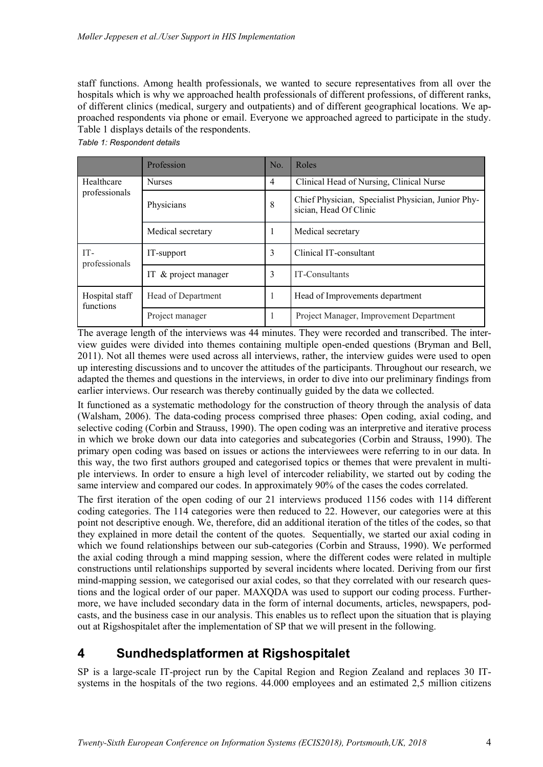staff functions. Among health professionals, we wanted to secure representatives from all over the hospitals which is why we approached health professionals of different professions, of different ranks, of different clinics (medical, surgery and outpatients) and of different geographical locations. We approached respondents via phone or email. Everyone we approached agreed to participate in the study. Table 1 displays details of the respondents.

|                             | Profession           | No. | Roles                                                                        |
|-----------------------------|----------------------|-----|------------------------------------------------------------------------------|
| Healthcare<br>professionals | <b>Nurses</b>        | 4   | Clinical Head of Nursing, Clinical Nurse                                     |
|                             | Physicians           | 8   | Chief Physician, Specialist Physician, Junior Phy-<br>sician, Head Of Clinic |
|                             | Medical secretary    |     | Medical secretary                                                            |
| IT-<br>professionals        | IT-support           | 3   | Clinical IT-consultant                                                       |
|                             | IT & project manager | 3   | IT-Consultants                                                               |
| Hospital staff<br>functions | Head of Department   |     | Head of Improvements department                                              |
|                             | Project manager      |     | Project Manager, Improvement Department                                      |

*Table 1: Respondent details*

The average length of the interviews was 44 minutes. They were recorded and transcribed. The interview guides were divided into themes containing multiple open-ended questions [\(Bryman and Bell,](#page-13-9)  [2011\)](#page-13-9). Not all themes were used across all interviews, rather, the interview guides were used to open up interesting discussions and to uncover the attitudes of the participants. Throughout our research, we adapted the themes and questions in the interviews, in order to dive into our preliminary findings from earlier interviews. Our research was thereby continually guided by the data we collected.

It functioned as a systematic methodology for the construction of theory through the analysis of data [\(Walsham, 2006\)](#page-15-9). The data-coding process comprised three phases: Open coding, axial coding, and selective coding [\(Corbin and Strauss, 1990\)](#page-13-10). The open coding was an interpretive and iterative process in which we broke down our data into categories and subcategories [\(Corbin and Strauss, 1990\)](#page-13-10). The primary open coding was based on issues or actions the interviewees were referring to in our data. In this way, the two first authors grouped and categorised topics or themes that were prevalent in multiple interviews. In order to ensure a high level of intercoder reliability, we started out by coding the same interview and compared our codes. In approximately 90% of the cases the codes correlated.

The first iteration of the open coding of our 21 interviews produced 1156 codes with 114 different coding categories. The 114 categories were then reduced to 22. However, our categories were at this point not descriptive enough. We, therefore, did an additional iteration of the titles of the codes, so that they explained in more detail the content of the quotes. Sequentially, we started our axial coding in which we found relationships between our sub-categories [\(Corbin and Strauss, 1990\)](#page-13-10). We performed the axial coding through a mind mapping session, where the different codes were related in multiple constructions until relationships supported by several incidents where located. Deriving from our first mind-mapping session, we categorised our axial codes, so that they correlated with our research questions and the logical order of our paper. MAXQDA was used to support our coding process. Furthermore, we have included secondary data in the form of internal documents, articles, newspapers, podcasts, and the business case in our analysis. This enables us to reflect upon the situation that is playing out at Rigshospitalet after the implementation of SP that we will present in the following.

## **4 Sundhedsplatformen at Rigshospitalet**

SP is a large-scale IT-project run by the Capital Region and Region Zealand and replaces 30 ITsystems in the hospitals of the two regions. 44.000 employees and an estimated 2,5 million citizens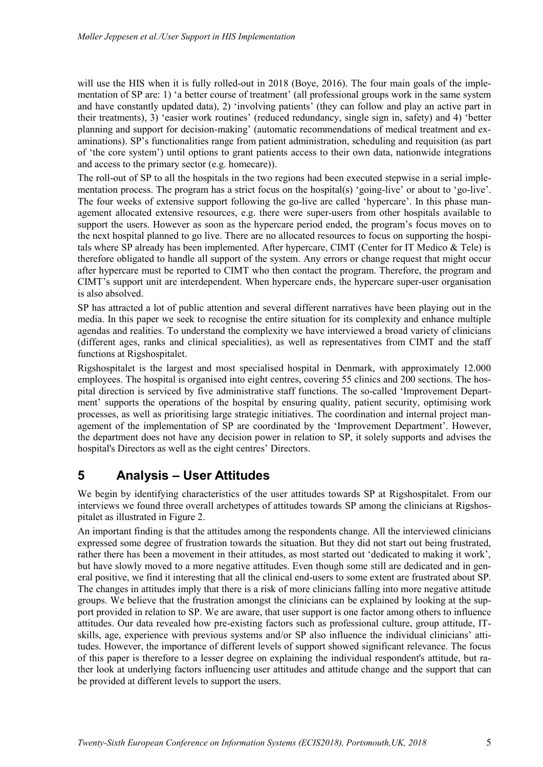will use the HIS when it is fully rolled-out in 2018 [\(Boye, 2016\)](#page-13-11). The four main goals of the implementation of SP are: 1) 'a better course of treatment' (all professional groups work in the same system and have constantly updated data), 2) 'involving patients' (they can follow and play an active part in their treatments), 3) 'easier work routines' (reduced redundancy, single sign in, safety) and 4) 'better planning and support for decision-making' (automatic recommendations of medical treatment and examinations). SP's functionalities range from patient administration, scheduling and requisition (as part of 'the core system') until options to grant patients access to their own data, nationwide integrations and access to the primary sector (e.g. homecare)).

The roll-out of SP to all the hospitals in the two regions had been executed stepwise in a serial implementation process. The program has a strict focus on the hospital(s) 'going-live' or about to 'go-live'. The four weeks of extensive support following the go-live are called 'hypercare'. In this phase management allocated extensive resources, e.g. there were super-users from other hospitals available to support the users. However as soon as the hypercare period ended, the program's focus moves on to the next hospital planned to go live. There are no allocated resources to focus on supporting the hospitals where SP already has been implemented. After hypercare, CIMT (Center for IT Medico & Tele) is therefore obligated to handle all support of the system. Any errors or change request that might occur after hypercare must be reported to CIMT who then contact the program. Therefore, the program and CIMT's support unit are interdependent. When hypercare ends, the hypercare super-user organisation is also absolved.

SP has attracted a lot of public attention and several different narratives have been playing out in the media. In this paper we seek to recognise the entire situation for its complexity and enhance multiple agendas and realities. To understand the complexity we have interviewed a broad variety of clinicians (different ages, ranks and clinical specialities), as well as representatives from CIMT and the staff functions at Rigshospitalet.

Rigshospitalet is the largest and most specialised hospital in Denmark, with approximately 12.000 employees. The hospital is organised into eight centres, covering 55 clinics and 200 sections. The hospital direction is serviced by five administrative staff functions. The so-called 'Improvement Department' supports the operations of the hospital by ensuring quality, patient security, optimising work processes, as well as prioritising large strategic initiatives. The coordination and internal project management of the implementation of SP are coordinated by the 'Improvement Department'. However, the department does not have any decision power in relation to SP, it solely supports and advises the hospital's Directors as well as the eight centres' Directors.

## **5 Analysis – User Attitudes**

We begin by identifying characteristics of the user attitudes towards SP at Rigshospitalet. From our interviews we found three overall archetypes of attitudes towards SP among the clinicians at Rigshospitalet as illustrated in Figure 2.

An important finding is that the attitudes among the respondents change. All the interviewed clinicians expressed some degree of frustration towards the situation. But they did not start out being frustrated, rather there has been a movement in their attitudes, as most started out 'dedicated to making it work', but have slowly moved to a more negative attitudes. Even though some still are dedicated and in general positive, we find it interesting that all the clinical end-users to some extent are frustrated about SP. The changes in attitudes imply that there is a risk of more clinicians falling into more negative attitude groups. We believe that the frustration amongst the clinicians can be explained by looking at the support provided in relation to SP. We are aware, that user support is one factor among others to influence attitudes. Our data revealed how pre-existing factors such as professional culture, group attitude, ITskills, age, experience with previous systems and/or SP also influence the individual clinicians' attitudes. However, the importance of different levels of support showed significant relevance. The focus of this paper is therefore to a lesser degree on explaining the individual respondent's attitude, but rather look at underlying factors influencing user attitudes and attitude change and the support that can be provided at different levels to support the users.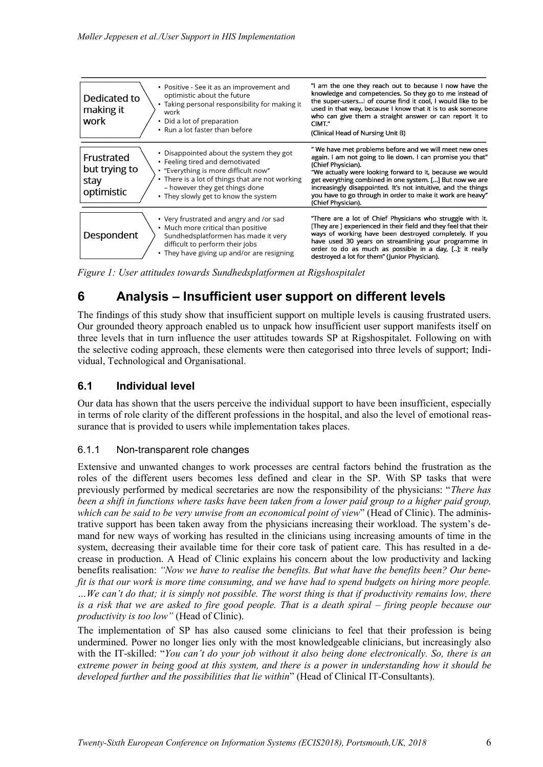| • Positive - See it as an improvement and<br>optimistic about the future<br>Dedicated to<br>• Taking personal responsibility for making it<br>making it<br>work<br>work<br>• Did a lot of preparation<br>• Run a lot faster than before                                                               | "I am the one they reach out to because I now have the<br>knowledge and competencies. So they go to me instead of<br>the super-users  of course find it cool, I would like to be<br>used in that way, because I know that it is to ask someone<br>who can give them a straight answer or can report it to<br>CIMT."<br>(Clinical Head of Nursing Unit B)                                                                  |
|-------------------------------------------------------------------------------------------------------------------------------------------------------------------------------------------------------------------------------------------------------------------------------------------------------|---------------------------------------------------------------------------------------------------------------------------------------------------------------------------------------------------------------------------------------------------------------------------------------------------------------------------------------------------------------------------------------------------------------------------|
| • Disappointed about the system they got<br>Frustrated<br>• Feeling tired and demotivated<br>but trying to<br>• "Everything is more difficult now"<br>• There is a lot of things that are not working<br>stay<br>- however they get things done<br>optimistic<br>• They slowly get to know the system | " We have met problems before and we will meet new ones<br>again. I am not going to lie down. I can promise you that"<br>(Chief Physician).<br>"We actually were looking forward to it, because we would<br>get everything combined in one system. [] But now we are<br>increasingly disappointed. It's not intuitive, and the things<br>you have to go through in order to make it work are heavy"<br>(Chief Physician). |
| • Very frustrated and angry and /or sad<br>• Much more critical than positive<br>Despondent<br>Sundhedsplatformen has made it very<br>difficult to perform their jobs<br>• They have giving up and/or are resigning                                                                                   | "There are a lot of Chief Physicians who struggle with it.<br>[They are ] experienced in their field and they feel that their<br>ways of working have been destroyed completely. If you<br>have used 30 years on streamlining your programme in<br>order to do as much as possible in a day, []; it really<br>destroyed a lot for them" (Junior Physician).                                                               |

*Figure 1: User attitudes towards Sundhedsplatformen at Rigshospitalet*

# **6 Analysis – Insufficient user support on different levels**

The findings of this study show that insufficient support on multiple levels is causing frustrated users. Our grounded theory approach enabled us to unpack how insufficient user support manifests itself on three levels that in turn influence the user attitudes towards SP at Rigshospitalet. Following on with the selective coding approach, these elements were then categorised into three levels of support; Individual, Technological and Organisational.

### **6.1 Individual level**

Our data has shown that the users perceive the individual support to have been insufficient, especially in terms of role clarity of the different professions in the hospital, and also the level of emotional reassurance that is provided to users while implementation takes places.

#### 6.1.1 Non-transparent role changes

Extensive and unwanted changes to work processes are central factors behind the frustration as the roles of the different users becomes less defined and clear in the SP. With SP tasks that were previously performed by medical secretaries are now the responsibility of the physicians: "*There has been a shift in functions where tasks have been taken from a lower paid group to a higher paid group, which can be said to be very unwise from an economical point of view*" (Head of Clinic). The administrative support has been taken away from the physicians increasing their workload. The system's demand for new ways of working has resulted in the clinicians using increasing amounts of time in the system, decreasing their available time for their core task of patient care. This has resulted in a decrease in production. A Head of Clinic explains his concern about the low productivity and lacking benefits realisation: *"Now we have to realise the benefits. But what have the benefits been? Our benefit is that our work is more time consuming, and we have had to spend budgets on hiring more people. …We can't do that; it is simply not possible. The worst thing is that if productivity remains low, there is a risk that we are asked to fire good people. That is a death spiral – firing people because our productivity is too low"* (Head of Clinic).

The implementation of SP has also caused some clinicians to feel that their profession is being undermined. Power no longer lies only with the most knowledgeable clinicians, but increasingly also with the IT-skilled: "*You can't do your job without it also being done electronically. So, there is an extreme power in being good at this system, and there is a power in understanding how it should be developed further and the possibilities that lie within*" (Head of Clinical IT-Consultants).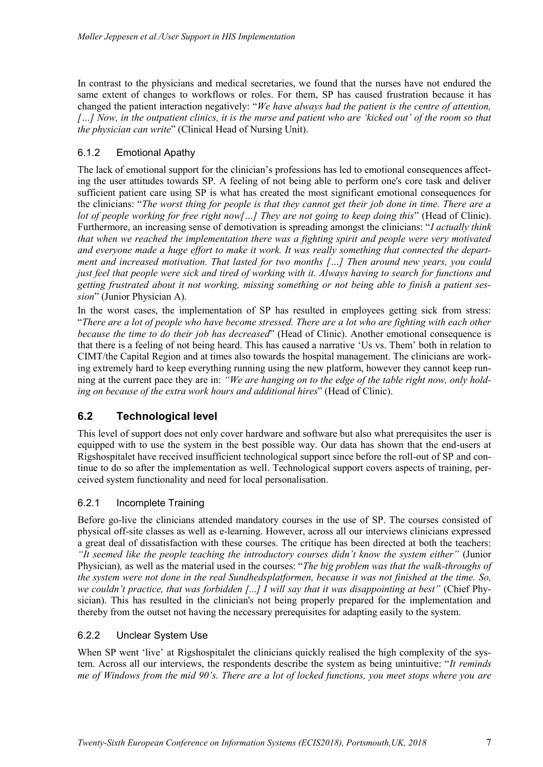In contrast to the physicians and medical secretaries, we found that the nurses have not endured the same extent of changes to workflows or roles. For them, SP has caused frustration because it has changed the patient interaction negatively: "*We have always had the patient is the centre of attention, […] Now, in the outpatient clinics, it is the nurse and patient who are 'kicked out' of the room so that the physician can write*" (Clinical Head of Nursing Unit).

### 6.1.2 Emotional Apathy

The lack of emotional support for the clinician's professions has led to emotional consequences affecting the user attitudes towards SP. A feeling of not being able to perform one's core task and deliver sufficient patient care using SP is what has created the most significant emotional consequences for the clinicians: "*The worst thing for people is that they cannot get their job done in time. There are a lot of people working for free right now[…] They are not going to keep doing this*" (Head of Clinic). Furthermore, an increasing sense of demotivation is spreading amongst the clinicians: "*I actually think that when we reached the implementation there was a fighting spirit and people were very motivated and everyone made a huge effort to make it work. It was really something that connected the department and increased motivation. That lasted for two months […] Then around new years, you could just feel that people were sick and tired of working with it. Always having to search for functions and getting frustrated about it not working, missing something or not being able to finish a patient session*" (Junior Physician A).

In the worst cases, the implementation of SP has resulted in employees getting sick from stress: "*There are a lot of people who have become stressed. There are a lot who are fighting with each other because the time to do their job has decreased*" (Head of Clinic). Another emotional consequence is that there is a feeling of not being heard. This has caused a narrative 'Us vs. Them' both in relation to CIMT/the Capital Region and at times also towards the hospital management. The clinicians are working extremely hard to keep everything running using the new platform, however they cannot keep running at the current pace they are in: *"We are hanging on to the edge of the table right now, only holding on because of the extra work hours and additional hires*" (Head of Clinic).

### **6.2 Technological level**

This level of support does not only cover hardware and software but also what prerequisites the user is equipped with to use the system in the best possible way. Our data has shown that the end-users at Rigshospitalet have received insufficient technological support since before the roll-out of SP and continue to do so after the implementation as well. Technological support covers aspects of training, perceived system functionality and need for local personalisation.

#### 6.2.1 Incomplete Training

Before go-live the clinicians attended mandatory courses in the use of SP. The courses consisted of physical off-site classes as well as e-learning. However, across all our interviews clinicians expressed a great deal of dissatisfaction with these courses. The critique has been directed at both the teachers: *"It seemed like the people teaching the introductory courses didn't know the system either"* (Junior Physician)*,* as well as the material used in the courses: "*The big problem was that the walk-throughs of the system were not done in the real Sundhedsplatformen, because it was not finished at the time. So, we couldn't practice, that was forbidden [...] I will say that it was disappointing at best"* (Chief Physician). This has resulted in the clinician's not being properly prepared for the implementation and thereby from the outset not having the necessary prerequisites for adapting easily to the system.

#### 6.2.2 Unclear System Use

When SP went 'live' at Rigshospitalet the clinicians quickly realised the high complexity of the system. Across all our interviews, the respondents describe the system as being unintuitive: "*It reminds me of Windows from the mid 90's. There are a lot of locked functions, you meet stops where you are*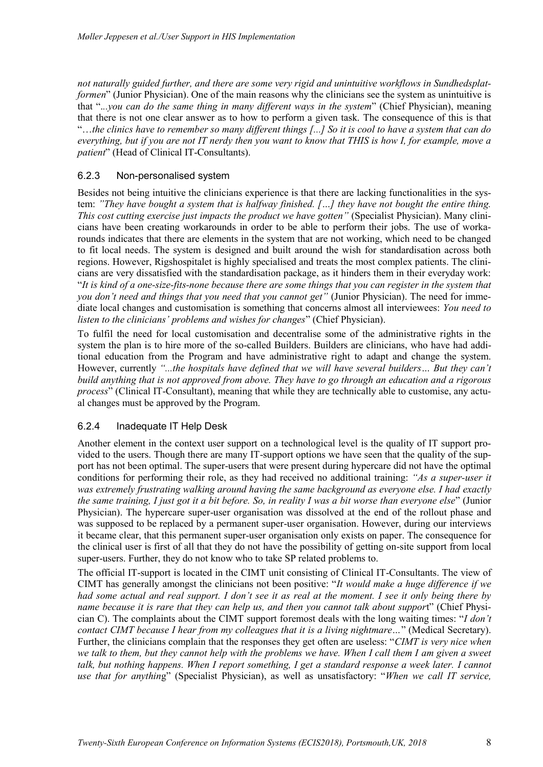*not naturally guided further, and there are some very rigid and unintuitive workflows in Sundhedsplatformen*" (Junior Physician). One of the main reasons why the clinicians see the system as unintuitive is that ".*..you can do the same thing in many different ways in the system*" (Chief Physician), meaning that there is not one clear answer as to how to perform a given task. The consequence of this is that "…*the clinics have to remember so many different things [...] So it is cool to have a system that can do everything, but if you are not IT nerdy then you want to know that THIS is how I, for example, move a patient*" (Head of Clinical IT-Consultants).

#### 6.2.3 Non-personalised system

Besides not being intuitive the clinicians experience is that there are lacking functionalities in the system: *"They have bought a system that is halfway finished. […] they have not bought the entire thing. This cost cutting exercise just impacts the product we have gotten"* (Specialist Physician). Many clinicians have been creating workarounds in order to be able to perform their jobs. The use of workarounds indicates that there are elements in the system that are not working, which need to be changed to fit local needs. The system is designed and built around the wish for standardisation across both regions. However, Rigshospitalet is highly specialised and treats the most complex patients. The clinicians are very dissatisfied with the standardisation package, as it hinders them in their everyday work: "*It is kind of a one-size-fits-none because there are some things that you can register in the system that you don't need and things that you need that you cannot get"* (Junior Physician). The need for immediate local changes and customisation is something that concerns almost all interviewees: *You need to listen to the clinicians' problems and wishes for changes*" (Chief Physician).

To fulfil the need for local customisation and decentralise some of the administrative rights in the system the plan is to hire more of the so-called Builders. Builders are clinicians, who have had additional education from the Program and have administrative right to adapt and change the system. However, currently *"...the hospitals have defined that we will have several builders… But they can't build anything that is not approved from above. They have to go through an education and a rigorous process*" (Clinical IT-Consultant), meaning that while they are technically able to customise, any actual changes must be approved by the Program.

#### 6.2.4 Inadequate IT Help Desk

Another element in the context user support on a technological level is the quality of IT support provided to the users. Though there are many IT-support options we have seen that the quality of the support has not been optimal. The super-users that were present during hypercare did not have the optimal conditions for performing their role, as they had received no additional training: *"As a super-user it was extremely frustrating walking around having the same background as everyone else. I had exactly the same training, I just got it a bit before. So, in reality I was a bit worse than everyone else*" (Junior Physician). The hypercare super-user organisation was dissolved at the end of the rollout phase and was supposed to be replaced by a permanent super-user organisation. However, during our interviews it became clear, that this permanent super-user organisation only exists on paper. The consequence for the clinical user is first of all that they do not have the possibility of getting on-site support from local super-users. Further, they do not know who to take SP related problems to.

The official IT-support is located in the CIMT unit consisting of Clinical IT-Consultants. The view of CIMT has generally amongst the clinicians not been positive: "*It would make a huge difference if we had some actual and real support. I don't see it as real at the moment. I see it only being there by name because it is rare that they can help us, and then you cannot talk about suppor*t" (Chief Physician C). The complaints about the CIMT support foremost deals with the long waiting times: "*I don't contact CIMT because I hear from my colleagues that it is a living nightmare…*" (Medical Secretary). Further, the clinicians complain that the responses they get often are useless: "*CIMT is very nice when we talk to them, but they cannot help with the problems we have. When I call them I am given a sweet talk, but nothing happens. When I report something, I get a standard response a week later. I cannot use that for anythin*g" (Specialist Physician), as well as unsatisfactory: "*When we call IT service,*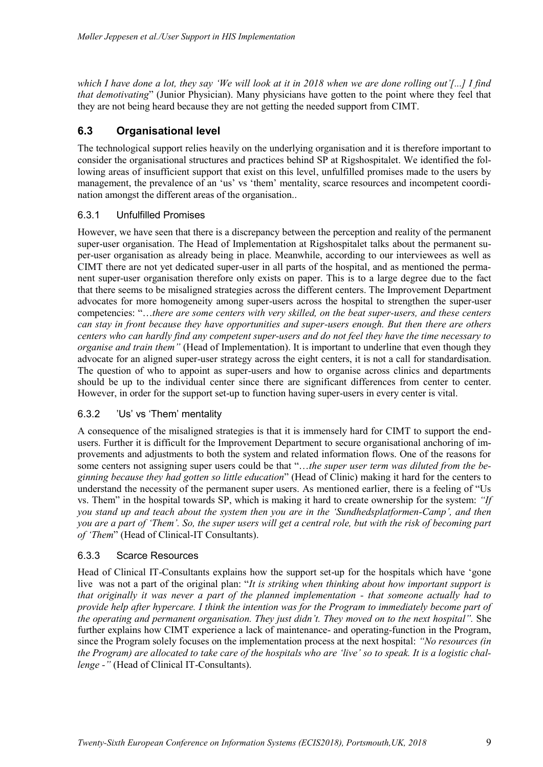*which I have done a lot, they say 'We will look at it in 2018 when we are done rolling out'[...] I find that demotivating*" (Junior Physician). Many physicians have gotten to the point where they feel that they are not being heard because they are not getting the needed support from CIMT.

### **6.3 Organisational level**

The technological support relies heavily on the underlying organisation and it is therefore important to consider the organisational structures and practices behind SP at Rigshospitalet. We identified the following areas of insufficient support that exist on this level, unfulfilled promises made to the users by management, the prevalence of an 'us' vs 'them' mentality, scarce resources and incompetent coordination amongst the different areas of the organisation..

#### 6.3.1 Unfulfilled Promises

However, we have seen that there is a discrepancy between the perception and reality of the permanent super-user organisation. The Head of Implementation at Rigshospitalet talks about the permanent super-user organisation as already being in place. Meanwhile, according to our interviewees as well as CIMT there are not yet dedicated super-user in all parts of the hospital, and as mentioned the permanent super-user organisation therefore only exists on paper. This is to a large degree due to the fact that there seems to be misaligned strategies across the different centers. The Improvement Department advocates for more homogeneity among super-users across the hospital to strengthen the super-user competencies: "…*there are some centers with very skilled, on the beat super-users, and these centers can stay in front because they have opportunities and super-users enough. But then there are others centers who can hardly find any competent super-users and do not feel they have the time necessary to organise and train them"* (Head of Implementation). It is important to underline that even though they advocate for an aligned super-user strategy across the eight centers, it is not a call for standardisation. The question of who to appoint as super-users and how to organise across clinics and departments should be up to the individual center since there are significant differences from center to center. However, in order for the support set-up to function having super-users in every center is vital.

#### 6.3.2 'Us' vs 'Them' mentality

A consequence of the misaligned strategies is that it is immensely hard for CIMT to support the endusers. Further it is difficult for the Improvement Department to secure organisational anchoring of improvements and adjustments to both the system and related information flows. One of the reasons for some centers not assigning super users could be that "…*the super user term was diluted from the beginning because they had gotten so little education*" (Head of Clinic) making it hard for the centers to understand the necessity of the permanent super users. As mentioned earlier, there is a feeling of "Us vs. Them" in the hospital towards SP, which is making it hard to create ownership for the system: *"If you stand up and teach about the system then you are in the 'Sundhedsplatformen-Camp', and then you are a part of 'Them'. So, the super users will get a central role, but with the risk of becoming part of 'Them*" (Head of Clinical-IT Consultants).

#### 6.3.3 Scarce Resources

Head of Clinical IT-Consultants explains how the support set-up for the hospitals which have 'gone live was not a part of the original plan: "*It is striking when thinking about how important support is that originally it was never a part of the planned implementation - that someone actually had to provide help after hypercare. I think the intention was for the Program to immediately become part of the operating and permanent organisation. They just didn't. They moved on to the next hospital".* She further explains how CIMT experience a lack of maintenance- and operating-function in the Program, since the Program solely focuses on the implementation process at the next hospital: *"No resources (in the Program) are allocated to take care of the hospitals who are 'live' so to speak. It is a logistic challenge -"* (Head of Clinical IT-Consultants).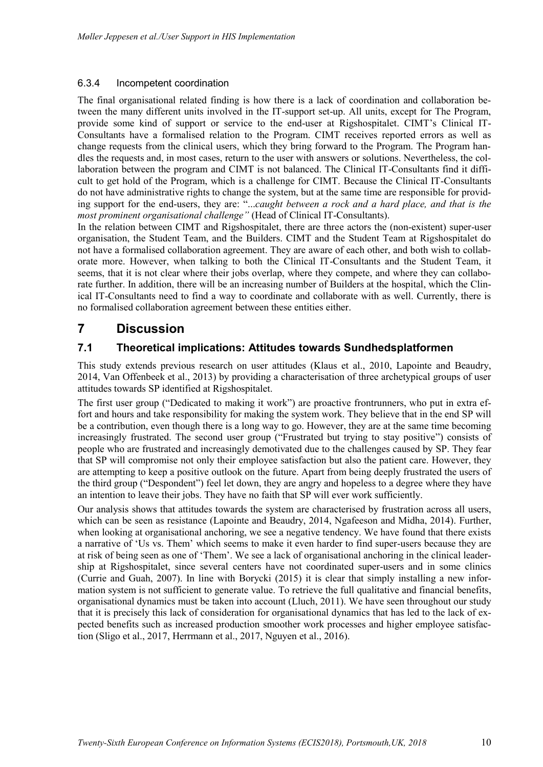#### 6.3.4 Incompetent coordination

The final organisational related finding is how there is a lack of coordination and collaboration between the many different units involved in the IT-support set-up. All units, except for The Program, provide some kind of support or service to the end-user at Rigshospitalet. CIMT's Clinical IT-Consultants have a formalised relation to the Program. CIMT receives reported errors as well as change requests from the clinical users, which they bring forward to the Program. The Program handles the requests and, in most cases, return to the user with answers or solutions. Nevertheless, the collaboration between the program and CIMT is not balanced. The Clinical IT-Consultants find it difficult to get hold of the Program, which is a challenge for CIMT. Because the Clinical IT-Consultants do not have administrative rights to change the system, but at the same time are responsible for providing support for the end-users, they are: "...*caught between a rock and a hard place, and that is the most prominent organisational challenge"* (Head of Clinical IT-Consultants).

In the relation between CIMT and Rigshospitalet, there are three actors the (non-existent) super-user organisation, the Student Team, and the Builders. CIMT and the Student Team at Rigshospitalet do not have a formalised collaboration agreement. They are aware of each other, and both wish to collaborate more. However, when talking to both the Clinical IT-Consultants and the Student Team, it seems, that it is not clear where their jobs overlap, where they compete, and where they can collaborate further. In addition, there will be an increasing number of Builders at the hospital, which the Clinical IT-Consultants need to find a way to coordinate and collaborate with as well. Currently, there is no formalised collaboration agreement between these entities either.

## **7 Discussion**

### **7.1 Theoretical implications: Attitudes towards Sundhedsplatformen**

This study extends previous research on user attitudes [\(Klaus et al., 2010,](#page-14-16) [Lapointe and Beaudry,](#page-14-17)  [2014,](#page-14-17) [Van Offenbeek et al., 2013\)](#page-15-10) by providing a characterisation of three archetypical groups of user attitudes towards SP identified at Rigshospitalet.

The first user group ("Dedicated to making it work") are proactive frontrunners, who put in extra effort and hours and take responsibility for making the system work. They believe that in the end SP will be a contribution, even though there is a long way to go. However, they are at the same time becoming increasingly frustrated. The second user group ("Frustrated but trying to stay positive") consists of people who are frustrated and increasingly demotivated due to the challenges caused by SP. They fear that SP will compromise not only their employee satisfaction but also the patient care. However, they are attempting to keep a positive outlook on the future. Apart from being deeply frustrated the users of the third group ("Despondent") feel let down, they are angry and hopeless to a degree where they have an intention to leave their jobs. They have no faith that SP will ever work sufficiently.

Our analysis shows that attitudes towards the system are characterised by frustration across all users, which can be seen as resistance [\(Lapointe and Beaudry, 2014,](#page-14-17) [Ngafeeson and Midha, 2014\)](#page-14-3). Further, when looking at organisational anchoring, we see a negative tendency. We have found that there exists a narrative of 'Us vs. Them' which seems to make it even harder to find super-users because they are at risk of being seen as one of 'Them'. We see a lack of organisational anchoring in the clinical leadership at Rigshospitalet, since several centers have not coordinated super-users and in some clinics [\(Currie and Guah, 2007\)](#page-13-12). In line with Borycki (2015) it is clear that simply installing a new information system is not sufficient to generate value. To retrieve the full qualitative and financial benefits, organisational dynamics must be taken into account [\(Lluch, 2011\)](#page-14-5). We have seen throughout our study that it is precisely this lack of consideration for organisational dynamics that has led to the lack of expected benefits such as increased production smoother work processes and higher employee satisfaction [\(Sligo et al., 2017,](#page-15-1) [Herrmann et al., 2017,](#page-13-5) [Nguyen et al., 2016\)](#page-14-1).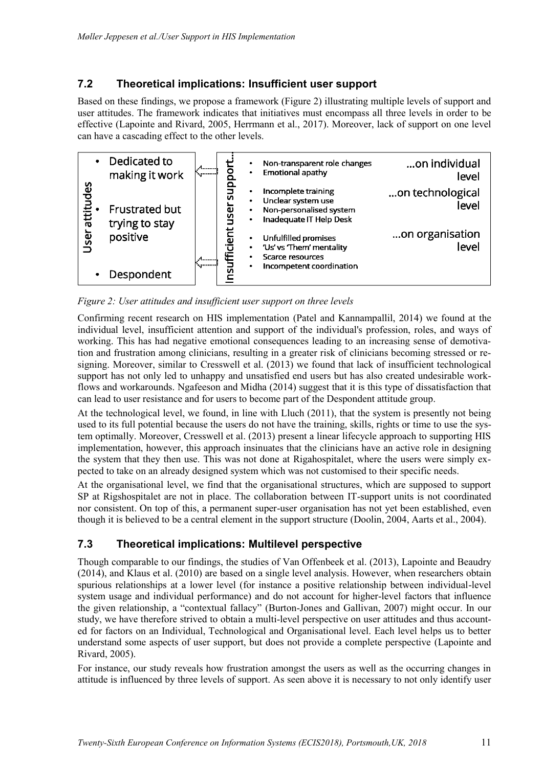### **7.2 Theoretical implications: Insufficient user support**

Based on these findings, we propose a framework (Figure 2) illustrating multiple levels of support and user attitudes. The framework indicates that initiatives must encompass all three levels in order to be effective [\(Lapointe and Rivard, 2005,](#page-14-18) [Herrmann et al., 2017\)](#page-13-5). Moreover, lack of support on one level can have a cascading effect to the other levels.



*Figure 2: User attitudes and insufficient user support on three levels*

Confirming recent research on HIS implementation [\(Patel and Kannampallil, 2014\)](#page-14-19) we found at the individual level, insufficient attention and support of the individual's profession, roles, and ways of working. This has had negative emotional consequences leading to an increasing sense of demotivation and frustration among clinicians, resulting in a greater risk of clinicians becoming stressed or resigning. Moreover, similar to Cresswell et al. (2013) we found that lack of insufficient technological support has not only led to unhappy and unsatisfied end users but has also created undesirable workflows and workarounds. Ngafeeson and Midha (2014) suggest that it is this type of dissatisfaction that can lead to user resistance and for users to become part of the Despondent attitude group.

At the technological level, we found, in line with Lluch (2011), that the system is presently not being used to its full potential because the users do not have the training, skills, rights or time to use the system optimally. Moreover, Cresswell et al. (2013) present a linear lifecycle approach to supporting HIS implementation, however, this approach insinuates that the clinicians have an active role in designing the system that they then use. This was not done at Rigahospitalet, where the users were simply expected to take on an already designed system which was not customised to their specific needs.

At the organisational level, we find that the organisational structures, which are supposed to support SP at Rigshospitalet are not in place. The collaboration between IT-support units is not coordinated nor consistent. On top of this, a permanent super-user organisation has not yet been established, even though it is believed to be a central element in the support structure [\(Doolin, 2004,](#page-13-13) [Aarts et al., 2004\)](#page-13-14).

### **7.3 Theoretical implications: Multilevel perspective**

Though comparable to our findings, the studies of Van Offenbeek et al. (2013), Lapointe and Beaudry (2014), and Klaus et al. (2010) are based on a single level analysis. However, when researchers obtain spurious relationships at a lower level (for instance a positive relationship between individual-level system usage and individual performance) and do not account for higher-level factors that influence the given relationship, a "contextual fallacy" [\(Burton-Jones and Gallivan, 2007\)](#page-13-15) might occur. In our study, we have therefore strived to obtain a multi-level perspective on user attitudes and thus accounted for factors on an Individual, Technological and Organisational level. Each level helps us to better understand some aspects of user support, but does not provide a complete perspective [\(Lapointe and](#page-14-18)  [Rivard, 2005\)](#page-14-18).

For instance, our study reveals how frustration amongst the users as well as the occurring changes in attitude is influenced by three levels of support. As seen above it is necessary to not only identify user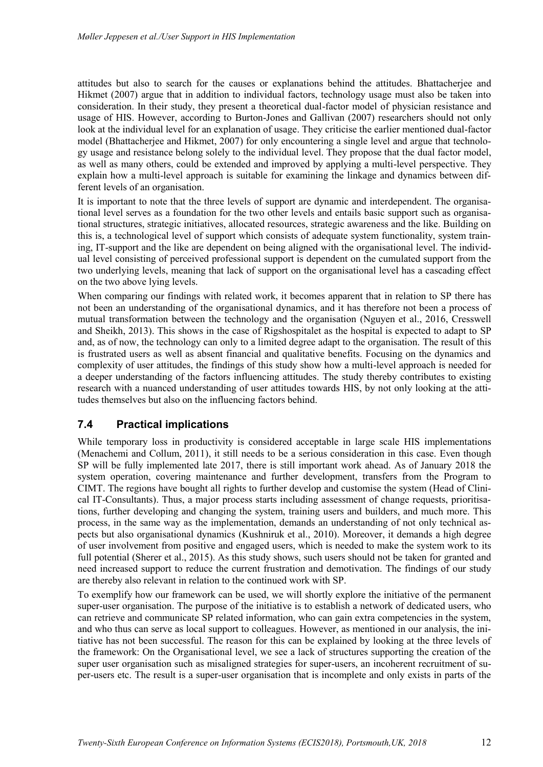attitudes but also to search for the causes or explanations behind the attitudes. Bhattacherjee and Hikmet (2007) argue that in addition to individual factors, technology usage must also be taken into consideration. In their study, they present a theoretical dual-factor model of physician resistance and usage of HIS. However, according to Burton-Jones and Gallivan (2007) researchers should not only look at the individual level for an explanation of usage. They criticise the earlier mentioned dual-factor model [\(Bhattacherjee and Hikmet, 2007\)](#page-13-8) for only encountering a single level and argue that technology usage and resistance belong solely to the individual level. They propose that the dual factor model, as well as many others, could be extended and improved by applying a multi-level perspective. They explain how a multi-level approach is suitable for examining the linkage and dynamics between different levels of an organisation.

It is important to note that the three levels of support are dynamic and interdependent. The organisational level serves as a foundation for the two other levels and entails basic support such as organisational structures, strategic initiatives, allocated resources, strategic awareness and the like. Building on this is, a technological level of support which consists of adequate system functionality, system training, IT-support and the like are dependent on being aligned with the organisational level. The individual level consisting of perceived professional support is dependent on the cumulated support from the two underlying levels, meaning that lack of support on the organisational level has a cascading effect on the two above lying levels.

When comparing our findings with related work, it becomes apparent that in relation to SP there has not been an understanding of the organisational dynamics, and it has therefore not been a process of mutual transformation between the technology and the organisation [\(Nguyen et al., 2016,](#page-14-1) [Cresswell](#page-13-6)  [and Sheikh, 2013\)](#page-13-6). This shows in the case of Rigshospitalet as the hospital is expected to adapt to SP and, as of now, the technology can only to a limited degree adapt to the organisation. The result of this is frustrated users as well as absent financial and qualitative benefits. Focusing on the dynamics and complexity of user attitudes, the findings of this study show how a multi-level approach is needed for a deeper understanding of the factors influencing attitudes. The study thereby contributes to existing research with a nuanced understanding of user attitudes towards HIS, by not only looking at the attitudes themselves but also on the influencing factors behind.

### **7.4 Practical implications**

While temporary loss in productivity is considered acceptable in large scale HIS implementations [\(Menachemi and Collum, 2011\)](#page-14-20), it still needs to be a serious consideration in this case. Even though SP will be fully implemented late 2017, there is still important work ahead. As of January 2018 the system operation, covering maintenance and further development, transfers from the Program to CIMT. The regions have bought all rights to further develop and customise the system (Head of Clinical IT-Consultants). Thus, a major process starts including assessment of change requests, prioritisations, further developing and changing the system, training users and builders, and much more. This process, in the same way as the implementation, demands an understanding of not only technical aspects but also organisational dynamics [\(Kushniruk et al., 2010\)](#page-14-21). Moreover, it demands a high degree of user involvement from positive and engaged users, which is needed to make the system work to its full potential [\(Sherer et al., 2015\)](#page-15-11). As this study shows, such users should not be taken for granted and need increased support to reduce the current frustration and demotivation. The findings of our study are thereby also relevant in relation to the continued work with SP.

To exemplify how our framework can be used, we will shortly explore the initiative of the permanent super-user organisation. The purpose of the initiative is to establish a network of dedicated users, who can retrieve and communicate SP related information, who can gain extra competencies in the system, and who thus can serve as local support to colleagues. However, as mentioned in our analysis, the initiative has not been successful. The reason for this can be explained by looking at the three levels of the framework: On the Organisational level, we see a lack of structures supporting the creation of the super user organisation such as misaligned strategies for super-users, an incoherent recruitment of super-users etc. The result is a super-user organisation that is incomplete and only exists in parts of the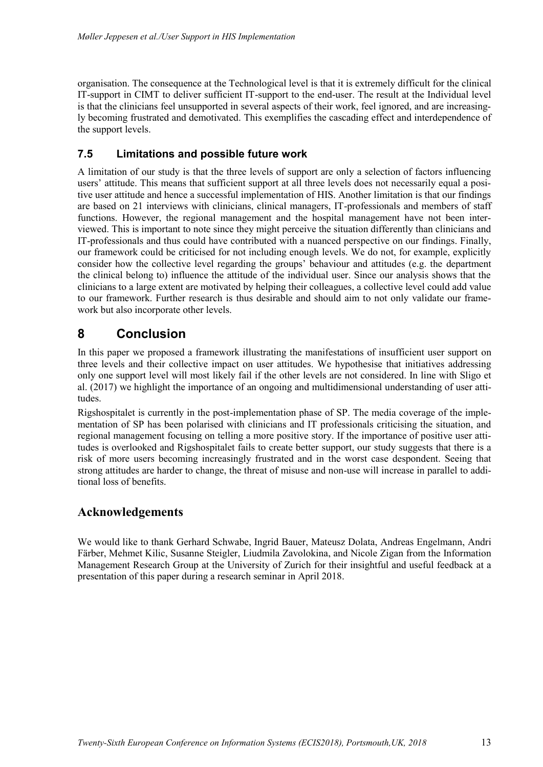organisation. The consequence at the Technological level is that it is extremely difficult for the clinical IT-support in CIMT to deliver sufficient IT-support to the end-user. The result at the Individual level is that the clinicians feel unsupported in several aspects of their work, feel ignored, and are increasingly becoming frustrated and demotivated. This exemplifies the cascading effect and interdependence of the support levels.

### **7.5 Limitations and possible future work**

A limitation of our study is that the three levels of support are only a selection of factors influencing users' attitude. This means that sufficient support at all three levels does not necessarily equal a positive user attitude and hence a successful implementation of HIS. Another limitation is that our findings are based on 21 interviews with clinicians, clinical managers, IT-professionals and members of staff functions. However, the regional management and the hospital management have not been interviewed. This is important to note since they might perceive the situation differently than clinicians and IT-professionals and thus could have contributed with a nuanced perspective on our findings. Finally, our framework could be criticised for not including enough levels. We do not, for example, explicitly consider how the collective level regarding the groups' behaviour and attitudes (e.g. the department the clinical belong to) influence the attitude of the individual user. Since our analysis shows that the clinicians to a large extent are motivated by helping their colleagues, a collective level could add value to our framework. Further research is thus desirable and should aim to not only validate our framework but also incorporate other levels.

## **8 Conclusion**

In this paper we proposed a framework illustrating the manifestations of insufficient user support on three levels and their collective impact on user attitudes. We hypothesise that initiatives addressing only one support level will most likely fail if the other levels are not considered. In line with Sligo et al. (2017) we highlight the importance of an ongoing and multidimensional understanding of user attitudes.

Rigshospitalet is currently in the post-implementation phase of SP. The media coverage of the implementation of SP has been polarised with clinicians and IT professionals criticising the situation, and regional management focusing on telling a more positive story. If the importance of positive user attitudes is overlooked and Rigshospitalet fails to create better support, our study suggests that there is a risk of more users becoming increasingly frustrated and in the worst case despondent. Seeing that strong attitudes are harder to change, the threat of misuse and non-use will increase in parallel to additional loss of benefits.

### **Acknowledgements**

We would like to thank Gerhard Schwabe, Ingrid Bauer, Mateusz Dolata, Andreas Engelmann, Andri Färber, Mehmet Kilic, Susanne Steigler, Liudmila Zavolokina, and Nicole Zigan from the Information Management Research Group at the University of Zurich for their insightful and useful feedback at a presentation of this paper during a research seminar in April 2018.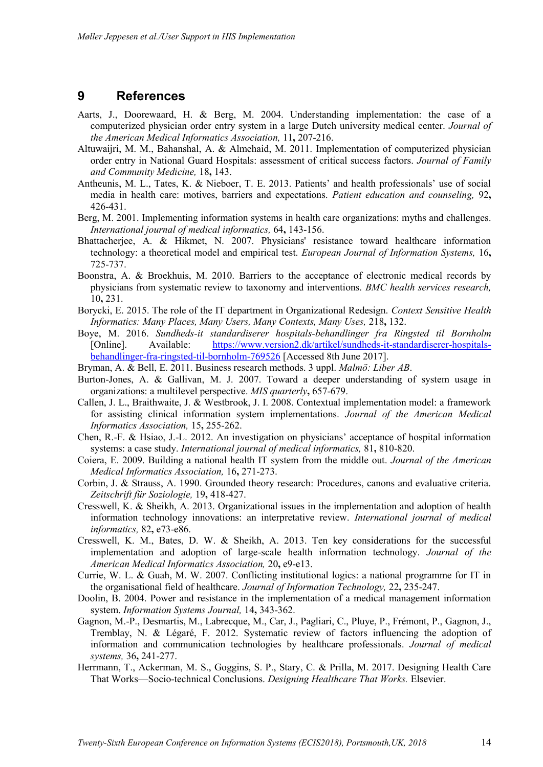#### **9 References**

- <span id="page-13-14"></span>Aarts, J., Doorewaard, H. & Berg, M. 2004. Understanding implementation: the case of a computerized physician order entry system in a large Dutch university medical center. *Journal of the American Medical Informatics Association,* 11**,** 207-216.
- <span id="page-13-2"></span>Altuwaijri, M. M., Bahanshal, A. & Almehaid, M. 2011. Implementation of computerized physician order entry in National Guard Hospitals: assessment of critical success factors. *Journal of Family and Community Medicine,* 18**,** 143.
- <span id="page-13-7"></span>Antheunis, M. L., Tates, K. & Nieboer, T. E. 2013. Patients' and health professionals' use of social media in health care: motives, barriers and expectations. *Patient education and counseling,* 92**,** 426-431.
- Berg, M. 2001. Implementing information systems in health care organizations: myths and challenges. *International journal of medical informatics,* 64**,** 143-156.
- <span id="page-13-8"></span>Bhattacherjee, A. & Hikmet, N. 2007. Physicians' resistance toward healthcare information technology: a theoretical model and empirical test. *European Journal of Information Systems,* 16**,** 725-737.
- <span id="page-13-1"></span>Boonstra, A. & Broekhuis, M. 2010. Barriers to the acceptance of electronic medical records by physicians from systematic review to taxonomy and interventions. *BMC health services research,* 10**,** 231.
- Borycki, E. 2015. The role of the IT department in Organizational Redesign. *Context Sensitive Health Informatics: Many Places, Many Users, Many Contexts, Many Uses,* 218**,** 132.
- <span id="page-13-11"></span>Boye, M. 2016. *Sundheds-it standardiserer hospitals-behandlinger fra Ringsted til Bornholm*  [Online]. Available: [https://www.version2.dk/artikel/sundheds-it-standardiserer-hospitals](https://www.version2.dk/artikel/sundheds-it-standardiserer-hospitals-behandlinger-fra-ringsted-til-bornholm-769526)[behandlinger-fra-ringsted-til-bornholm-769526](https://www.version2.dk/artikel/sundheds-it-standardiserer-hospitals-behandlinger-fra-ringsted-til-bornholm-769526) [Accessed 8th June 2017].
- <span id="page-13-9"></span>Bryman, A. & Bell, E. 2011. Business research methods. 3 uppl. *Malmö: Liber AB*.
- <span id="page-13-15"></span>Burton-Jones, A. & Gallivan, M. J. 2007. Toward a deeper understanding of system usage in organizations: a multilevel perspective. *MIS quarterly***,** 657-679.
- <span id="page-13-4"></span>Callen, J. L., Braithwaite, J. & Westbrook, J. I. 2008. Contextual implementation model: a framework for assisting clinical information system implementations. *Journal of the American Medical Informatics Association,* 15**,** 255-262.
- Chen, R.-F. & Hsiao, J.-L. 2012. An investigation on physicians' acceptance of hospital information systems: a case study. *International journal of medical informatics,* 81**,** 810-820.
- <span id="page-13-3"></span>Coiera, E. 2009. Building a national health IT system from the middle out. *Journal of the American Medical Informatics Association,* 16**,** 271-273.
- <span id="page-13-10"></span>Corbin, J. & Strauss, A. 1990. Grounded theory research: Procedures, canons and evaluative criteria. *Zeitschrift für Soziologie,* 19**,** 418-427.
- <span id="page-13-6"></span>Cresswell, K. & Sheikh, A. 2013. Organizational issues in the implementation and adoption of health information technology innovations: an interpretative review. *International journal of medical informatics,* 82**,** e73-e86.
- <span id="page-13-0"></span>Cresswell, K. M., Bates, D. W. & Sheikh, A. 2013. Ten key considerations for the successful implementation and adoption of large-scale health information technology. *Journal of the American Medical Informatics Association,* 20**,** e9-e13.
- <span id="page-13-12"></span>Currie, W. L. & Guah, M. W. 2007. Conflicting institutional logics: a national programme for IT in the organisational field of healthcare. *Journal of Information Technology,* 22**,** 235-247.
- <span id="page-13-13"></span>Doolin, B. 2004. Power and resistance in the implementation of a medical management information system. *Information Systems Journal,* 14**,** 343-362.
- Gagnon, M.-P., Desmartis, M., Labrecque, M., Car, J., Pagliari, C., Pluye, P., Frémont, P., Gagnon, J., Tremblay, N. & Légaré, F. 2012. Systematic review of factors influencing the adoption of information and communication technologies by healthcare professionals. *Journal of medical systems,* 36**,** 241-277.
- <span id="page-13-5"></span>Herrmann, T., Ackerman, M. S., Goggins, S. P., Stary, C. & Prilla, M. 2017. Designing Health Care That Works—Socio-technical Conclusions. *Designing Healthcare That Works.* Elsevier.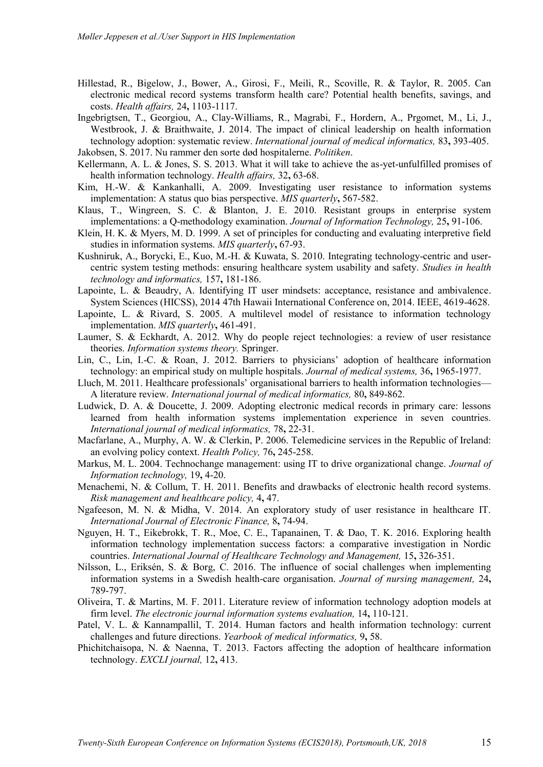- <span id="page-14-0"></span>Hillestad, R., Bigelow, J., Bower, A., Girosi, F., Meili, R., Scoville, R. & Taylor, R. 2005. Can electronic medical record systems transform health care? Potential health benefits, savings, and costs. *Health affairs,* 24**,** 1103-1117.
- <span id="page-14-13"></span>Ingebrigtsen, T., Georgiou, A., Clay-Williams, R., Magrabi, F., Hordern, A., Prgomet, M., Li, J., Westbrook, J. & Braithwaite, J. 2014. The impact of clinical leadership on health information technology adoption: systematic review. *International journal of medical informatics,* 83**,** 393-405.
- <span id="page-14-2"></span>Jakobsen, S. 2017. Nu rammer den sorte død hospitalerne. *Politiken*.
- <span id="page-14-10"></span>Kellermann, A. L. & Jones, S. S. 2013. What it will take to achieve the as-yet-unfulfilled promises of health information technology. *Health affairs,* 32**,** 63-68.
- <span id="page-14-4"></span>Kim, H.-W. & Kankanhalli, A. 2009. Investigating user resistance to information systems implementation: A status quo bias perspective. *MIS quarterly***,** 567-582.
- <span id="page-14-16"></span>Klaus, T., Wingreen, S. C. & Blanton, J. E. 2010. Resistant groups in enterprise system implementations: a Q-methodology examination. *Journal of Information Technology,* 25**,** 91-106.
- <span id="page-14-15"></span>Klein, H. K. & Myers, M. D. 1999. A set of principles for conducting and evaluating interpretive field studies in information systems. *MIS quarterly***,** 67-93.
- <span id="page-14-21"></span>Kushniruk, A., Borycki, E., Kuo, M.-H. & Kuwata, S. 2010. Integrating technology-centric and usercentric system testing methods: ensuring healthcare system usability and safety. *Studies in health technology and informatics,* 157**,** 181-186.
- <span id="page-14-17"></span>Lapointe, L. & Beaudry, A. Identifying IT user mindsets: acceptance, resistance and ambivalence. System Sciences (HICSS), 2014 47th Hawaii International Conference on, 2014. IEEE, 4619-4628.
- <span id="page-14-18"></span>Lapointe, L. & Rivard, S. 2005. A multilevel model of resistance to information technology implementation. *MIS quarterly***,** 461-491.
- <span id="page-14-12"></span>Laumer, S. & Eckhardt, A. 2012. Why do people reject technologies: a review of user resistance theories. *Information systems theory.* Springer.
- <span id="page-14-8"></span>Lin, C., Lin, I.-C. & Roan, J. 2012. Barriers to physicians' adoption of healthcare information technology: an empirical study on multiple hospitals. *Journal of medical systems,* 36**,** 1965-1977.
- <span id="page-14-5"></span>Lluch, M. 2011. Healthcare professionals' organisational barriers to health information technologies— A literature review. *International journal of medical informatics,* 80**,** 849-862.
- <span id="page-14-9"></span>Ludwick, D. A. & Doucette, J. 2009. Adopting electronic medical records in primary care: lessons learned from health information systems implementation experience in seven countries. *International journal of medical informatics,* 78**,** 22-31.
- <span id="page-14-6"></span>Macfarlane, A., Murphy, A. W. & Clerkin, P. 2006. Telemedicine services in the Republic of Ireland: an evolving policy context. *Health Policy,* 76**,** 245-258.
- Markus, M. L. 2004. Technochange management: using IT to drive organizational change. *Journal of Information technology,* 19**,** 4-20.
- <span id="page-14-20"></span>Menachemi, N. & Collum, T. H. 2011. Benefits and drawbacks of electronic health record systems. *Risk management and healthcare policy,* 4**,** 47.
- <span id="page-14-3"></span>Ngafeeson, M. N. & Midha, V. 2014. An exploratory study of user resistance in healthcare IT. *International Journal of Electronic Finance,* 8**,** 74-94.
- <span id="page-14-1"></span>Nguyen, H. T., Eikebrokk, T. R., Moe, C. E., Tapanainen, T. & Dao, T. K. 2016. Exploring health information technology implementation success factors: a comparative investigation in Nordic countries. *International Journal of Healthcare Technology and Management,* 15**,** 326-351.
- <span id="page-14-7"></span>Nilsson, L., Eriksén, S. & Borg, C. 2016. The influence of social challenges when implementing information systems in a Swedish health‐care organisation. *Journal of nursing management,* 24**,** 789-797.
- <span id="page-14-14"></span>Oliveira, T. & Martins, M. F. 2011. Literature review of information technology adoption models at firm level. *The electronic journal information systems evaluation,* 14**,** 110-121.
- <span id="page-14-19"></span>Patel, V. L. & Kannampallil, T. 2014. Human factors and health information technology: current challenges and future directions. *Yearbook of medical informatics,* 9**,** 58.
- <span id="page-14-11"></span>Phichitchaisopa, N. & Naenna, T. 2013. Factors affecting the adoption of healthcare information technology. *EXCLI journal,* 12**,** 413.